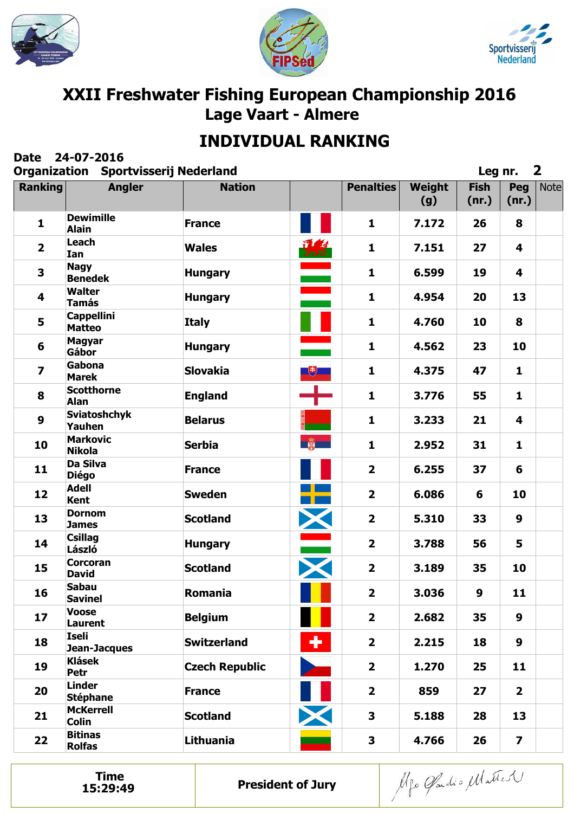





# **INDIVIDUAL RANKING**

| <b>Date</b>             | 24-07-2016<br><b>Organization Sportvisserij Nederland</b> |                       |                                                               |                         |               | Leg nr.              |                         | $\mathbf{2}$ |
|-------------------------|-----------------------------------------------------------|-----------------------|---------------------------------------------------------------|-------------------------|---------------|----------------------|-------------------------|--------------|
| <b>Ranking</b>          | <b>Angler</b>                                             | <b>Nation</b>         |                                                               | <b>Penalties</b>        | Weight<br>(g) | <b>Fish</b><br>(nr.) | Peg<br>(nr.)            | <b>Note</b>  |
| $\mathbf{1}$            | <b>Dewimille</b><br><b>Alain</b>                          | <b>France</b>         |                                                               | $\mathbf{1}$            | 7.172         | 26                   | 8                       |              |
| $\overline{2}$          | Leach<br>Ian                                              | <b>Wales</b>          | 夏                                                             | $\mathbf{1}$            | 7.151         | 27                   | $\overline{\mathbf{4}}$ |              |
| 3                       | <b>Nagy</b><br><b>Benedek</b>                             | <b>Hungary</b>        | <u>e de la p</u>                                              | $\mathbf{1}$            | 6.599         | 19                   | 4                       |              |
| 4                       | <b>Walter</b><br><b>Tamás</b>                             | <b>Hungary</b>        |                                                               | $\mathbf{1}$            | 4.954         | 20                   | 13                      |              |
| 5                       | <b>Cappellini</b><br><b>Matteo</b>                        | <b>Italy</b>          |                                                               | $\mathbf{1}$            | 4.760         | 10                   | 8                       |              |
| 6                       | <b>Magyar</b><br>Gábor                                    | <b>Hungary</b>        |                                                               | $\mathbf{1}$            | 4.562         | 23                   | 10                      |              |
| $\overline{\mathbf{z}}$ | Gabona<br><b>Marek</b>                                    | <b>Slovakia</b>       | $\begin{array}{ c c } \hline \text{ } & \text{ } \end{array}$ | $\mathbf{1}$            | 4.375         | 47                   | $\mathbf{1}$            |              |
| 8                       | <b>Scotthorne</b><br><b>Alan</b>                          | <b>England</b>        |                                                               | $\mathbf{1}$            | 3.776         | 55                   | $\mathbf{1}$            |              |
| $\boldsymbol{9}$        | <b>Sviatoshchyk</b><br><b>Yauhen</b>                      | <b>Belarus</b>        |                                                               | 1                       | 3.233         | 21                   | 4                       |              |
| 10                      | <b>Markovic</b><br><b>Nikola</b>                          | <b>Serbia</b>         | 第一                                                            | $\mathbf{1}$            | 2.952         | 31                   | $\mathbf{1}$            |              |
| 11                      | <b>Da Silva</b><br><b>Diégo</b>                           | <b>France</b>         |                                                               | $\overline{2}$          | 6.255         | 37                   | 6                       |              |
| 12                      | <b>Adell</b><br><b>Kent</b>                               | <b>Sweden</b>         | 2þ                                                            | $\overline{\mathbf{2}}$ | 6.086         | 6                    | 10                      |              |
| 13                      | <b>Dornom</b><br><b>James</b>                             | <b>Scotland</b>       | X                                                             | $\overline{\mathbf{2}}$ | 5.310         | 33                   | 9                       |              |
| 14                      | <b>Csillag</b><br>László                                  | <b>Hungary</b>        |                                                               | $\overline{\mathbf{2}}$ | 3.788         | 56                   | 5                       |              |
| 15                      | <b>Corcoran</b><br><b>David</b>                           | <b>Scotland</b>       |                                                               | $\overline{\mathbf{2}}$ | 3.189         | 35                   | 10                      |              |
| 16                      | <b>Sabau</b><br><b>Savinel</b>                            | Romania               |                                                               | $\overline{\mathbf{2}}$ | 3.036         | 9                    | 11                      |              |
| 17                      | <b>Voose</b><br>Laurent                                   | <b>Belgium</b>        |                                                               | $\overline{2}$          | 2.682         | 35                   | 9                       |              |
| 18                      | Iseli<br>Jean-Jacques                                     | <b>Switzerland</b>    | ÷                                                             | $\overline{2}$          | 2.215         | 18                   | 9                       |              |
| 19                      | <b>Klásek</b><br>Petr                                     | <b>Czech Republic</b> |                                                               | $\overline{2}$          | 1.270         | 25                   | 11                      |              |
| 20                      | <b>Linder</b><br><b>Stéphane</b>                          | <b>France</b>         |                                                               | $\overline{2}$          | 859           | 27                   | $\overline{2}$          |              |
| 21                      | <b>McKerrell</b><br><b>Colin</b>                          | <b>Scotland</b>       | $\bm{\times}$                                                 | 3                       | 5.188         | 28                   | 13                      |              |
| 22                      | <b>Bitinas</b><br><b>Rolfas</b>                           | Lithuania             |                                                               | $\mathbf{3}$            | 4.766         | 26                   | $\overline{\mathbf{z}}$ |              |

**Time**<br>15:29:49

Alfo Gardio Matter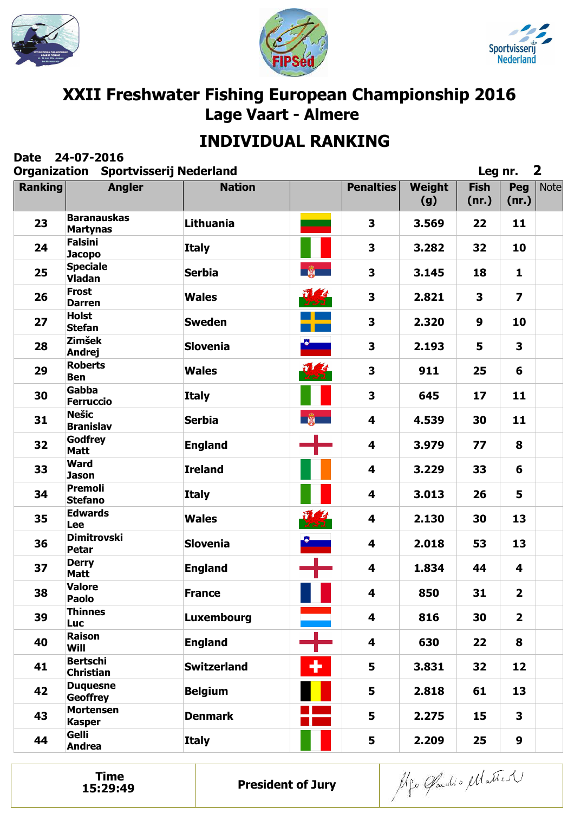





# **INDIVIDUAL RANKING**

| <b>Date</b>    | 24-07-2016<br><b>Organization Sportvisserij Nederland</b> |                    |                                         |                         |               | Leg nr.              |                         | $\overline{\mathbf{2}}$ |
|----------------|-----------------------------------------------------------|--------------------|-----------------------------------------|-------------------------|---------------|----------------------|-------------------------|-------------------------|
| <b>Ranking</b> | <b>Angler</b>                                             | <b>Nation</b>      |                                         | <b>Penalties</b>        | Weight<br>(g) | <b>Fish</b><br>(nr.) | Peg<br>(nr.)            | <b>Note</b>             |
| 23             | <b>Baranauskas</b><br><b>Martynas</b>                     | Lithuania          |                                         | $\overline{\mathbf{3}}$ | 3.569         | 22                   | 11                      |                         |
| 24             | <b>Falsini</b><br><b>Jacopo</b>                           | <b>Italy</b>       |                                         | 3                       | 3.282         | 32                   | 10                      |                         |
| 25             | <b>Speciale</b><br><b>Vladan</b>                          | <b>Serbia</b>      | $\frac{1}{2}$                           | 3                       | 3.145         | 18                   | 1                       |                         |
| 26             | <b>Frost</b><br><b>Darren</b>                             | <b>Wales</b>       | $\frac{1}{3}$<br>2.51                   | $\overline{\mathbf{3}}$ | 2.821         | 3                    | $\overline{\mathbf{z}}$ |                         |
| 27             | <b>Holst</b><br><b>Stefan</b>                             | <b>Sweden</b>      |                                         | $\overline{\mathbf{3}}$ | 2.320         | 9                    | 10                      |                         |
| 28             | <b>Zimšek</b><br><b>Andrej</b>                            | <b>Slovenia</b>    |                                         | 3                       | 2.193         | 5                    | 3                       |                         |
| 29             | <b>Roberts</b><br><b>Ben</b>                              | <b>Wales</b>       | $\sqrt{4}$<br>727                       | $\overline{\mathbf{3}}$ | 911           | 25                   | 6                       |                         |
| 30             | Gabba<br><b>Ferruccio</b>                                 | <b>Italy</b>       |                                         | 3                       | 645           | 17                   | 11                      |                         |
| 31             | <b>Nešic</b><br><b>Branislav</b>                          | <b>Serbia</b>      | $\frac{1}{2}$                           | 4                       | 4.539         | 30                   | 11                      |                         |
| 32             | Godfrey<br><b>Matt</b>                                    | <b>England</b>     |                                         | 4                       | 3.979         | 77                   | 8                       |                         |
| 33             | <b>Ward</b><br><b>Jason</b>                               | <b>Ireland</b>     |                                         | 4                       | 3.229         | 33                   | 6                       |                         |
| 34             | <b>Premoli</b><br><b>Stefano</b>                          | <b>Italy</b>       |                                         | 4                       | 3.013         | 26                   | 5                       |                         |
| 35             | <b>Edwards</b><br><b>Lee</b>                              | <b>Wales</b>       | 要                                       | 4                       | 2.130         | 30                   | 13                      |                         |
| 36             | <b>Dimitrovski</b><br><b>Petar</b>                        | <b>Slovenia</b>    |                                         | 4                       | 2.018         | 53                   | 13                      |                         |
| 37             | <b>Derry</b><br>Matt                                      | <b>England</b>     |                                         | 4                       | 1.834         | 44                   | 4                       |                         |
| 38             | <b>Valore</b><br><b>Paolo</b>                             | <b>France</b>      | $\mathcal{L}^{\text{max}}_{\text{max}}$ | 4                       | 850           | 31                   | $\overline{2}$          |                         |
| 39             | <b>Thinnes</b><br><b>Luc</b>                              | Luxembourg         |                                         | 4                       | 816           | 30                   | $\overline{2}$          |                         |
| 40             | <b>Raison</b><br>Will                                     | <b>England</b>     |                                         | 4                       | 630           | 22                   | 8                       |                         |
| 41             | <b>Bertschi</b><br><b>Christian</b>                       | <b>Switzerland</b> | ٠                                       | 5                       | 3.831         | 32                   | 12                      |                         |
| 42             | <b>Duquesne</b><br><b>Geoffrey</b>                        | <b>Belgium</b>     |                                         | 5                       | 2.818         | 61                   | 13                      |                         |
| 43             | <b>Mortensen</b><br><b>Kasper</b>                         | <b>Denmark</b>     |                                         | 5                       | 2.275         | 15                   | $\mathbf{3}$            |                         |
| 44             | Gelli<br><b>Andrea</b>                                    | <b>Italy</b>       |                                         | 5                       | 2.209         | 25                   | 9                       |                         |

**Time**<br>15:29:49

Alfo Gardio Matter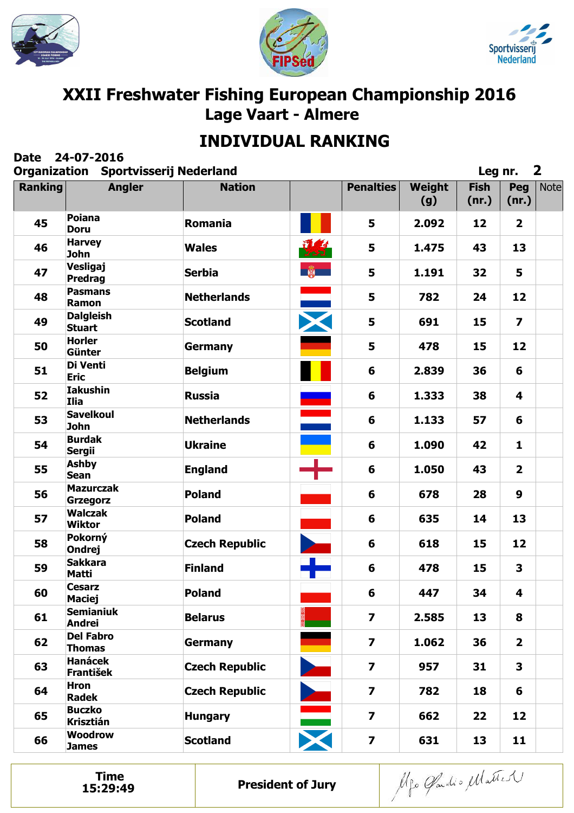





# **INDIVIDUAL RANKING**

| <b>Date</b>    | 24-07-2016<br><b>Organization Sportvisserij Nederland</b> |                       |                        |                         |               | Leg nr.              |                         | $\mathbf{2}$ |
|----------------|-----------------------------------------------------------|-----------------------|------------------------|-------------------------|---------------|----------------------|-------------------------|--------------|
| <b>Ranking</b> | <b>Angler</b>                                             | <b>Nation</b>         |                        | <b>Penalties</b>        | Weight<br>(g) | <b>Fish</b><br>(nr.) | Peg<br>(nr.)            | <b>Note</b>  |
| 45             | <b>Poiana</b><br><b>Doru</b>                              | <b>Romania</b>        |                        | 5                       | 2.092         | 12                   | $\overline{2}$          |              |
| 46             | <b>Harvey</b><br><b>John</b>                              | <b>Wales</b>          | 現実                     | 5                       | 1.475         | 43                   | 13                      |              |
| 47             | Vesligaj<br><b>Predrag</b>                                | <b>Serbia</b>         | 第一                     | 5                       | 1.191         | 32                   | 5                       |              |
| 48             | <b>Pasmans</b><br>Ramon                                   | <b>Netherlands</b>    |                        | 5                       | 782           | 24                   | 12                      |              |
| 49             | <b>Dalgleish</b><br><b>Stuart</b>                         | <b>Scotland</b>       | X                      | 5                       | 691           | 15                   | $\overline{\mathbf{z}}$ |              |
| 50             | <b>Horler</b><br>Günter                                   | <b>Germany</b>        |                        | 5                       | 478           | 15                   | 12                      |              |
| 51             | Di Venti<br><b>Eric</b>                                   | <b>Belgium</b>        |                        | 6                       | 2.839         | 36                   | 6                       |              |
| 52             | <b>Iakushin</b><br><b>Ilia</b>                            | <b>Russia</b>         |                        | 6                       | 1.333         | 38                   | 4                       |              |
| 53             | <b>Savelkoul</b><br><b>John</b>                           | <b>Netherlands</b>    |                        | 6                       | 1.133         | 57                   | 6                       |              |
| 54             | <b>Burdak</b><br><b>Sergii</b>                            | <b>Ukraine</b>        |                        | 6                       | 1.090         | 42                   | $\mathbf{1}$            |              |
| 55             | <b>Ashby</b><br><b>Sean</b>                               | <b>England</b>        |                        | 6                       | 1.050         | 43                   | $\overline{2}$          |              |
| 56             | <b>Mazurczak</b><br>Grzegorz                              | <b>Poland</b>         |                        | 6                       | 678           | 28                   | 9                       |              |
| 57             | <b>Walczak</b><br><b>Wiktor</b>                           | <b>Poland</b>         |                        | 6                       | 635           | 14                   | 13                      |              |
| 58             | Pokorný<br><b>Ondrej</b>                                  | <b>Czech Republic</b> |                        | 6                       | 618           | 15                   | 12                      |              |
| 59             | <b>Sakkara</b><br>Matti                                   | <b>Finland</b>        |                        | 6                       | 478           | 15                   | 3                       |              |
| 60             | <b>Cesarz</b><br><b>Maciej</b>                            | <b>Poland</b>         |                        | 6                       | 447           | 34                   | 4                       |              |
| 61             | <b>Semianiuk</b><br>Andrei                                | <b>Belarus</b>        |                        | $\overline{\mathbf{z}}$ | 2.585         | 13                   | 8                       |              |
| 62             | <b>Del Fabro</b><br><b>Thomas</b>                         | <b>Germany</b>        |                        | $\overline{\mathbf{z}}$ | 1.062         | 36                   | $\overline{2}$          |              |
| 63             | <b>Hanácek</b><br><b>František</b>                        | <b>Czech Republic</b> |                        | $\overline{\mathbf{z}}$ | 957           | 31                   | 3                       |              |
| 64             | <b>Hron</b><br><b>Radek</b>                               | <b>Czech Republic</b> |                        | $\overline{\mathbf{z}}$ | 782           | 18                   | 6                       |              |
| 65             | <b>Buczko</b><br>Krisztián                                | <b>Hungary</b>        | $\frac{1}{\mathbf{X}}$ | $\overline{\mathbf{z}}$ | 662           | 22                   | 12                      |              |
| 66             | <b>Woodrow</b><br><b>James</b>                            | <b>Scotland</b>       |                        | $\overline{\mathbf{z}}$ | 631           | 13                   | 11                      |              |

**Time**<br>15:29:49

Alfo Gardio Matter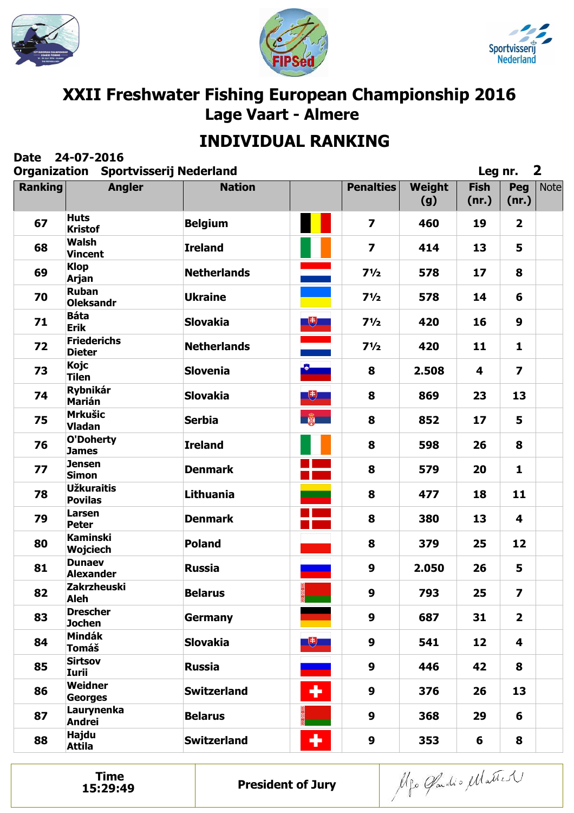





# **INDIVIDUAL RANKING**

| <b>Date</b>    | 24-07-2016<br><b>Organization Sportvisserij Nederland</b> |                    |                    |                         |               | Leg nr.              |                         | $\mathbf{2}$ |
|----------------|-----------------------------------------------------------|--------------------|--------------------|-------------------------|---------------|----------------------|-------------------------|--------------|
| <b>Ranking</b> | <b>Angler</b>                                             | <b>Nation</b>      |                    | <b>Penalties</b>        | Weight<br>(g) | <b>Fish</b><br>(nr.) | Peg<br>(nr.)            | <b>Note</b>  |
| 67             | <b>Huts</b><br><b>Kristof</b>                             | <b>Belgium</b>     |                    | $\overline{\mathbf{z}}$ | 460           | 19                   | $\overline{\mathbf{2}}$ |              |
| 68             | <b>Walsh</b><br><b>Vincent</b>                            | <b>Ireland</b>     |                    | $\overline{\mathbf{z}}$ | 414           | 13                   | 5                       |              |
| 69             | <b>Klop</b><br><b>Arjan</b>                               | <b>Netherlands</b> | $\blacksquare$     | $7\frac{1}{2}$          | 578           | 17                   | 8                       |              |
| 70             | <b>Ruban</b><br><b>Oleksandr</b>                          | <b>Ukraine</b>     |                    | $7\frac{1}{2}$          | 578           | 14                   | 6                       |              |
| 71             | <b>Báta</b><br><b>Erik</b>                                | <b>Slovakia</b>    |                    | $7\frac{1}{2}$          | 420           | 16                   | 9                       |              |
| 72             | <b>Friederichs</b><br><b>Dieter</b>                       | <b>Netherlands</b> | <u>a ma</u>        | $7\frac{1}{2}$          | 420           | 11                   | $\mathbf{1}$            |              |
| 73             | Kojc<br><b>Tilen</b>                                      | <b>Slovenia</b>    | <u>Compa</u>       | 8                       | 2.508         | 4                    | $\overline{\mathbf{z}}$ |              |
| 74             | <b>Rybnikár</b><br><b>Marián</b>                          | <b>Slovakia</b>    | $\overline{E}$     | 8                       | 869           | 23                   | 13                      |              |
| 75             | <b>Mrkušic</b><br><b>Vladan</b>                           | <b>Serbia</b>      | <b>DESCRIPTION</b> | 8                       | 852           | 17                   | 5                       |              |
| 76             | <b>O'Doherty</b><br><b>James</b>                          | <b>Ireland</b>     |                    | 8                       | 598           | 26                   | 8                       |              |
| 77             | <b>Jensen</b><br><b>Simon</b>                             | <b>Denmark</b>     |                    | 8                       | 579           | 20                   | $\mathbf{1}$            |              |
| 78             | <b>Užkuraitis</b><br><b>Povilas</b>                       | Lithuania          |                    | 8                       | 477           | 18                   | 11                      |              |
| 79             | Larsen<br><b>Peter</b>                                    | <b>Denmark</b>     |                    | 8                       | 380           | 13                   | 4                       |              |
| 80             | <b>Kaminski</b><br><b>Wojciech</b>                        | <b>Poland</b>      |                    | 8                       | 379           | 25                   | 12                      |              |
| 81             | <b>Dunaev</b><br><b>Alexander</b>                         | <b>Russia</b>      |                    | 9                       | 2.050         | 26                   | 5                       |              |
| 82             | <b>Zakrzheuski</b><br><b>Aleh</b>                         | <b>Belarus</b>     |                    | 9                       | 793           | 25                   | $\overline{\mathbf{z}}$ |              |
| 83             | <b>Drescher</b><br><b>Jochen</b>                          | <b>Germany</b>     |                    | $\boldsymbol{9}$        | 687           | 31                   | $\overline{2}$          |              |
| 84             | <b>Mindák</b><br><b>Tomáš</b>                             | <b>Slovakia</b>    | $+$                | 9                       | 541           | 12                   | $\overline{\mathbf{4}}$ |              |
| 85             | <b>Sirtsov</b><br>Iurii                                   | <b>Russia</b>      |                    | $\boldsymbol{9}$        | 446           | 42                   | 8                       |              |
| 86             | Weidner<br><b>Georges</b>                                 | <b>Switzerland</b> | ٠                  | 9                       | 376           | 26                   | 13                      |              |
| 87             | Laurynenka<br>Andrei                                      | <b>Belarus</b>     |                    | 9                       | 368           | 29                   | 6                       |              |
| 88             | <b>Hajdu</b><br><b>Attila</b>                             | <b>Switzerland</b> | ٠                  | $\boldsymbol{9}$        | 353           | 6                    | 8                       |              |

**Time**<br>15:29:49

Alfo Gardio Matter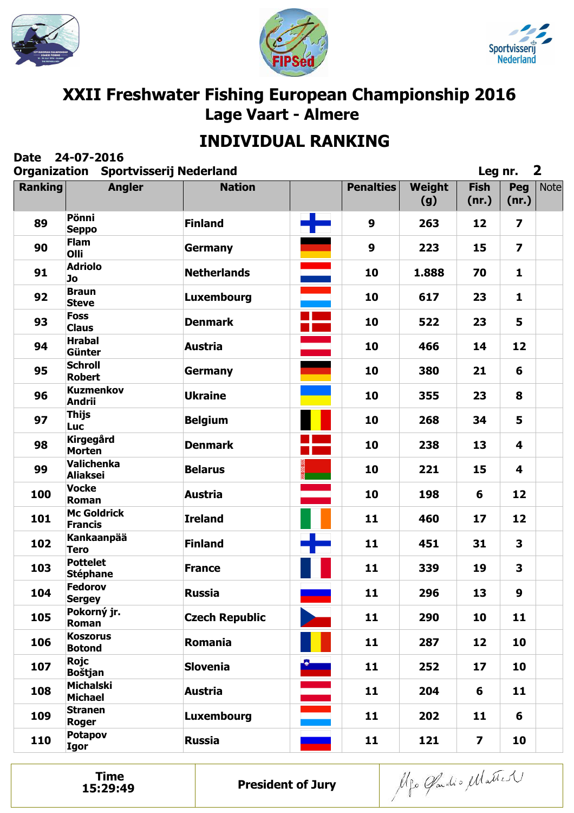





# **INDIVIDUAL RANKING**

| <b>Date</b>    | 24-07-2016<br><b>Organization Sportvisserij Nederland</b> |                       |          |                  |               | Leg nr.                 |                         | $\mathbf{2}$ |
|----------------|-----------------------------------------------------------|-----------------------|----------|------------------|---------------|-------------------------|-------------------------|--------------|
| <b>Ranking</b> | <b>Angler</b>                                             | <b>Nation</b>         |          | <b>Penalties</b> | Weight<br>(g) | <b>Fish</b><br>(nr.)    | Peg<br>(nr.)            | <b>Note</b>  |
| 89             | Pönni<br><b>Seppo</b>                                     | <b>Finland</b>        | ╋        | $\boldsymbol{9}$ | 263           | 12                      | $\overline{\mathbf{z}}$ |              |
| 90             | <b>Flam</b><br>Olli                                       | Germany               |          | $\boldsymbol{9}$ | 223           | 15                      | $\overline{\mathbf{z}}$ |              |
| 91             | <b>Adriolo</b><br>Jo                                      | <b>Netherlands</b>    | Ξ        | 10               | 1.888         | 70                      | $\mathbf{1}$            |              |
| 92             | <b>Braun</b><br><b>Steve</b>                              | Luxembourg            | e<br>Ber | 10               | 617           | 23                      | $\mathbf{1}$            |              |
| 93             | <b>Foss</b><br><b>Claus</b>                               | <b>Denmark</b>        | ۲.       | 10               | 522           | 23                      | 5                       |              |
| 94             | <b>Hrabal</b><br>Günter                                   | <b>Austria</b>        |          | 10               | 466           | 14                      | 12                      |              |
| 95             | <b>Schroll</b><br><b>Robert</b>                           | <b>Germany</b>        |          | 10               | 380           | 21                      | 6                       |              |
| 96             | <b>Kuzmenkov</b><br><b>Andrii</b>                         | <b>Ukraine</b>        |          | 10               | 355           | 23                      | 8                       |              |
| 97             | <b>Thijs</b><br><b>Luc</b>                                | <b>Belgium</b>        |          | 10               | 268           | 34                      | 5                       |              |
| 98             | <b>Kirgegård</b><br><b>Morten</b>                         | <b>Denmark</b>        |          | 10               | 238           | 13                      | 4                       |              |
| 99             | <b>Valichenka</b><br><b>Aliaksei</b>                      | <b>Belarus</b>        |          | 10               | 221           | 15                      | 4                       |              |
| 100            | <b>Vocke</b><br>Roman                                     | <b>Austria</b>        |          | 10               | 198           | 6                       | 12                      |              |
| 101            | <b>Mc Goldrick</b><br><b>Francis</b>                      | <b>Ireland</b>        |          | 11               | 460           | 17                      | 12                      |              |
| 102            | Kankaanpää<br><b>Tero</b>                                 | <b>Finland</b>        |          | 11               | 451           | 31                      | 3                       |              |
| 103            | <b>Pottelet</b><br><b>Stéphane</b>                        | <b>France</b>         |          | 11               | 339           | 19                      | 3                       |              |
| 104            | <b>Fedorov</b><br><b>Sergey</b>                           | <b>Russia</b>         |          | 11               | 296           | 13                      | 9                       |              |
| 105            | Pokorný jr.<br>Roman                                      | <b>Czech Republic</b> |          | 11               | 290           | 10                      | 11                      |              |
| 106            | <b>Koszorus</b><br><b>Botond</b>                          | Romania               |          | 11               | 287           | 12                      | 10                      |              |
| 107            | <b>Rojc</b><br><b>Boštjan</b>                             | <b>Slovenia</b>       |          | 11               | 252           | 17                      | 10                      |              |
| 108            | <b>Michalski</b><br><b>Michael</b>                        | <b>Austria</b>        | Î.       | 11               | 204           | 6                       | 11                      |              |
| 109            | <b>Stranen</b><br><b>Roger</b>                            | Luxembourg            |          | 11               | 202           | 11                      | 6                       |              |
| 110            | Potapov<br><b>Igor</b>                                    | <b>Russia</b>         | -        | 11               | 121           | $\overline{\mathbf{z}}$ | 10                      |              |

**Time**<br>15:29:49

Alfo Gardio Matter